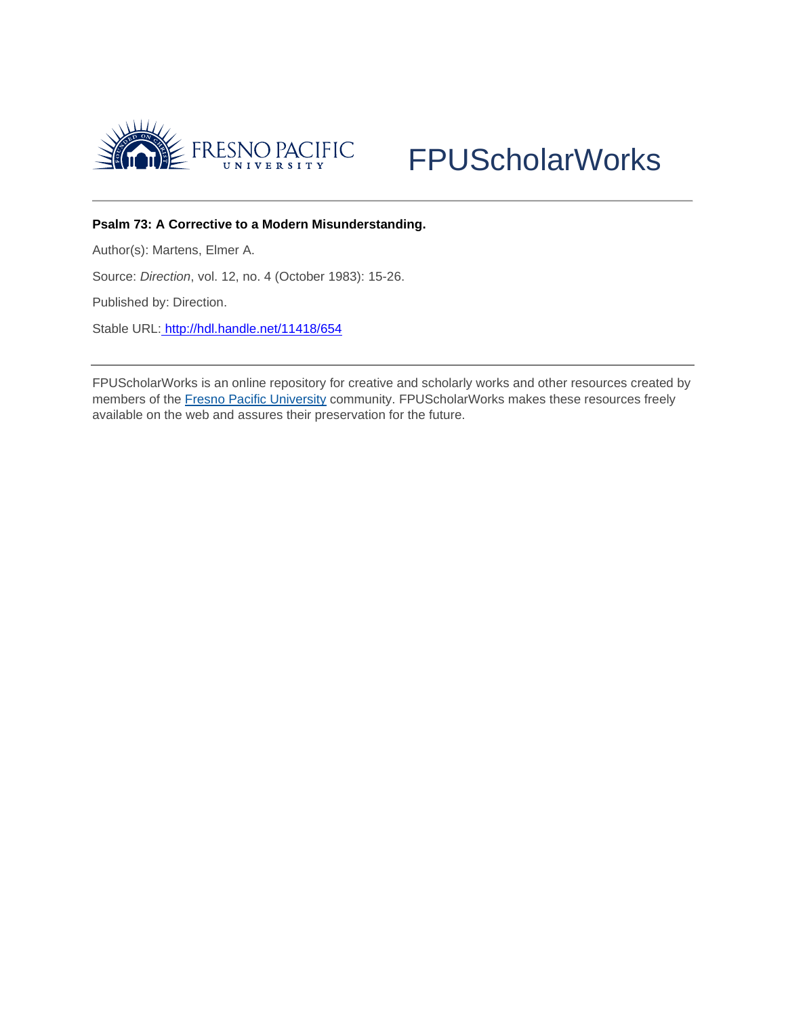



# **Psalm 73: A Corrective to a Modern Misunderstanding.**

Author(s): Martens, Elmer A.

Source: *Direction*, vol. 12, no. 4 (October 1983): 15-26.

Published by: Direction.

Stable URL: <http://hdl.handle.net/11418/654>

FPUScholarWorks is an online repository for creative and scholarly works and other resources created by members of the [Fresno Pacific University](http://www.fresno.edu/) community. FPUScholarWorks makes these resources freely available on the web and assures their preservation for the future.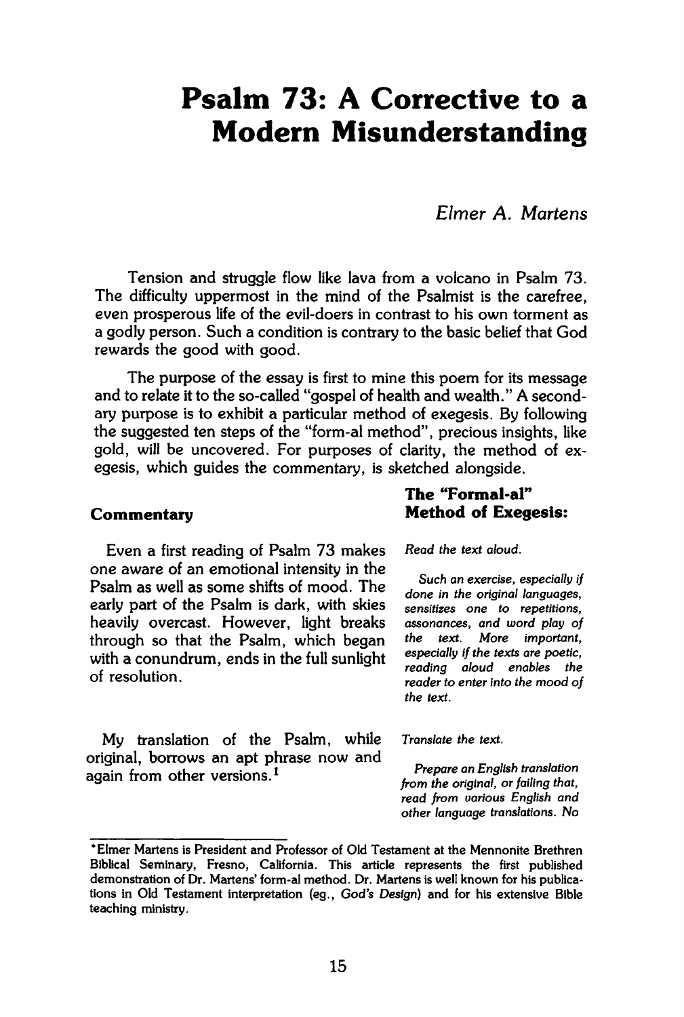# **Psalm 73: A Corrective to a Modern Misunderstanding**

*Elmer A. Martens* 

Tension and struggle flow like lava from a volcano in Psalm 73. The difficulty uppermost in the mind of the Psalmist is the carefree, even prosperous life of the evil-doers in contrast to his own torment as a godly person. Such a condition is contrary to the basic belief that God rewards the good with good.

The purpose of the essay is first to mine this poem for its message and to relate it to the so-called "gospel of health and wealth." A secondary purpose is to exhibit a particular method of exegesis. By following the suggested ten steps of the "form-al method", precious insights, like gold, will be uncovered. For purposes of clarity, the method of exegesis, which guides the commentary, is sketched alongside.

Even a first reading of Psalm 73 makes *Read the text aloud.*  one aware of an emotional intensity in the **i Psalm** as well as some shifts of mood. The done in the original languages, early part of the Psalm is dark, with skies sensitizes one to repetitions, heavily overcast. However, light breaks assonances, and word play of through so that the Psalm, which began the text. More important, through so that the Psalm, which began<br>with a conundrum, ends in the full sunlight especially if the texts are poetic, with a conundrum, ends in the full sumight

My translation of the Psalm, while *Translate the text.*  original, borrows an apt phrase now and *Again from other versions. i <i>n Constanting <b><i>n <i>Constanting <b><i>n <i>Constanting <b><i>n Constanting <b><i>n <i>Constanting <b>* 

# **The "Formal-al" Commentary Method of Exegesis:**

Such an exercise, especially if  $reading$  aloud enables the *reading aloud enables the*<br>*reader to enter into the mood of*<br>*the text.* **Constitution** in the mode of  $r$  reader to the mode of  $r$ 

from the original, or failing that,<br>. read from various English and *read from various English and other language translations. No* 

**<sup>\*</sup> Elmer Martens is President and Professor of Old Testament at the Mennonite Brethren Biblical Seminary, Fresno, California. This article represents the first published demonstration of Dr. Martens' form-al method. Dr. Martens is well known for his publications in Old Testament interpretation (eg.,** *God's Design)* **and for his extensive Bible teaching ministry.**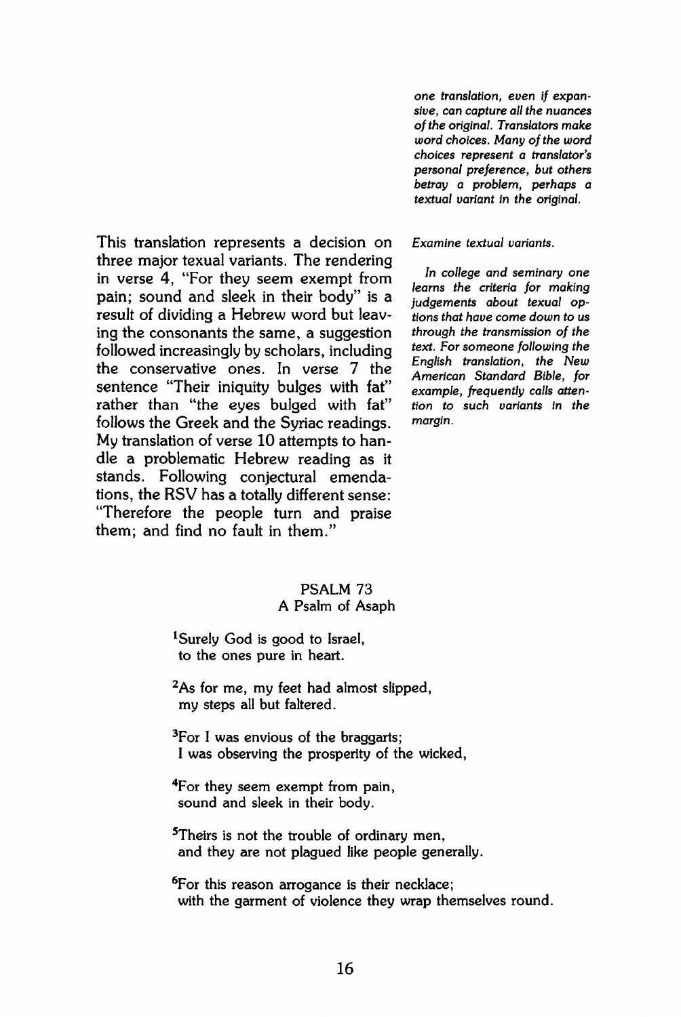**This translation represents a decision on three major texual variants. The rendering in verse 4, "For they seem exempt from pain; sound and sleek in their body" is a result of dividing a Hebrew word but leaving the consonants the same, a suggestion followed increasingly by scholars, including the conservative ones. In verse 7 the sentence "Their iniquity bulges with fat" rather than "the eyes bulged with fat" follows the Greek and the Syriac readings. My translation of verse 10 attempts to handle a problematic Hebrew reading as it stands. Following conjectural emendations, the RSV has a totally different sense: "Therefore the people turn and praise them; and find no fault in them."** 

*one translation, even if expansive, can capture all the nuances of the original. Translators make word choices. Many of the word choices represent a translator's personal preference, but others betray a problem, perhaps a textual variant in the original.* 

*Examine textual variants.* 

*In college and seminary one learns the criteria for making judgements about texual options that have come down to us through the transmission of the text. For someone following the English translation, the New American Standard Bible, for example, frequently calls attention to such variants in the margin.* 

#### **PSALM 73 A Psalm of Asaph**

<sup>1</sup>Surely God is good to Israel, **to the ones pure in heart.** 

**<sup>2</sup>As for me, my feet had almost slipped, my steps all but faltered.** 

**<sup>3</sup>For I was envious of the braggarts; I was observing the prosperity of the wicked,** 

**<sup>4</sup>For they seem exempt from pain, sound and sleek in their body.** 

**<sup>5</sup>Theirs is not the trouble of ordinary men, and they are not plagued like people generally.** 

**<sup>6</sup>For this reason arrogance is their necklace; with the garment of violence they wrap themselves round.**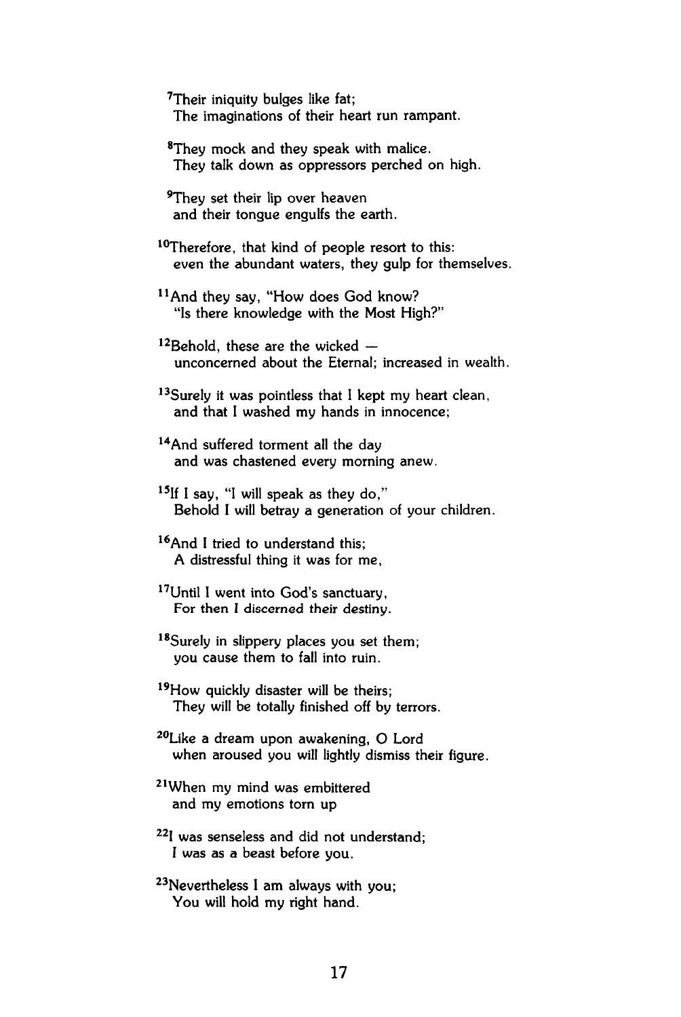**<sup>7</sup>Their iniquity bulges like fat; The imaginations of their heart run rampant.** 

**<sup>8</sup>They mock and they speak with malice. They talk down as oppressors perched on high.** 

**<sup>9</sup>They set their lip over heaven and their tongue engulfs the earth.** 

**<sup>10</sup>Therefore, that kind of people resort to this: even the abundant waters, they gulp for themselves.** 

- **11 And they say, "How does God know? "Is there knowledge with the Most High?"**
- **<sup>12</sup>Behold, these are the wicked unconcerned about the Eternal; increased in wealth.**

**<sup>13</sup>Surely it was pointless that I kept my heart clean, and that I washed my hands in innocence;** 

- **<sup>14</sup>And suffered torment all the day and was chastened every morning anew.**
- **<sup>15</sup>If I say, "I will speak as they do," Behold I will betray a generation of your children.**
- **<sup>16</sup>And I tried to understand this; A distressful thing it was for me,**
- **<sup>17</sup>Until I went into God's sanctuary, For then I discerned their destiny.**
- **<sup>18</sup>Surely in slippery places you set them; you cause them to fall into ruin.**
- **<sup>19</sup>How quickly disaster will be theirs; They will be totally finished off by terrors.**
- **<sup>20</sup>Like a dream upon awakening, O Lord when aroused you will lightly dismiss their figure.**
- **21 When my mind was embittered and my emotions torn up**
- **<sup>22</sup>I was senseless and did not understand; I was as a beast before you.**
- **"Nevertheless I am always with you; You will hold my right hand.**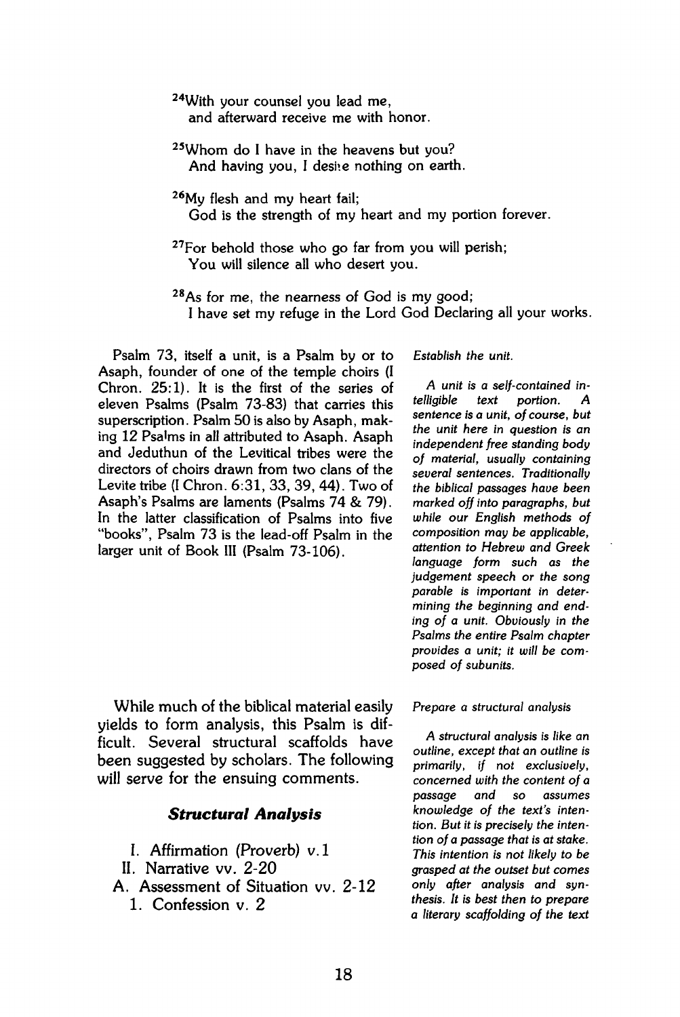**<sup>24</sup>With your counsel you lead me, and afterward receive me with honor.** 

- **<sup>25</sup>Whom do I have in the heavens but you?**  And having you, I desite nothing on earth.
- **<sup>26</sup>My flesh and my heart fail; God is the strength of my heart and my portion forever.**
- **<sup>27</sup>For behold those who go far from you will perish; You will silence all who desert you.**
- **<sup>28</sup>As for me, the nearness of God is my good; I have set my refuge in the Lord God Declaring all your works.**

**Psalm 73, itself a unit, is a Psalm by or to Asaph, founder of one of the temple choirs (I Chron. 25:1). It is the first of the series of eleven Psalms (Psalm 73-83) that carries this superscription. Psalm 50 is also by Asaph, making 12 Psa'ms in all attributed to Asaph. Asaph and Jeduthun of the Levitical tribes were the directors of choirs drawn from two clans of the Lévite tribe (I Chron. 6:31, 33, 39, 44). Two of Asaph's Psalms are laments (Psalms 74 & 79). In the latter classification of Psalms into five "books", Psalm 73 is the lead-off Psalm in the larger unit of Book III (Psalm 73-106).** 

**While much of the biblical material easily yields to form analysis, this Psalm is difficult. Several structural scaffolds have been suggested by scholars. The following will serve for the ensuing comments.** 

### *Structurai Analysis*

- **I. Affirmation (Proverb) v.l**
- **II. Narrative vv. 2-20**
- **A. Assessment of Situation vv. 2-12 1. Confession v. 2**

#### *Establish the unit.*

*A unit is a self-contained in-* $$ *sentence is a unit, of course, but the unit here in question is an independent free standing body of material, usually containing several sentences. Traditionally the biblical passages have been marked off into paragraphs, but while our English methods of composition may be applicable, attention to Hebrew and Greek language form such as the judgement speech or the song parable is important in determining the beginning and ending of a unit. Obviously in the Psalms the entire Psalm chapter provides a unit; it will be composed of subunits.* 

#### *Prepare a structural analysis*

*A structural analysis is like an outline, except that an outline is primarily, if not exclusively, concerned with the content of a passage and so assumes knowledge of the text's intention. But it is precisely the intention of a passage that is at stake. This intention is not likely to be grasped at the outset but comes only after analysis and synthesis. It is best then to prepare a literary scaffolding of the text*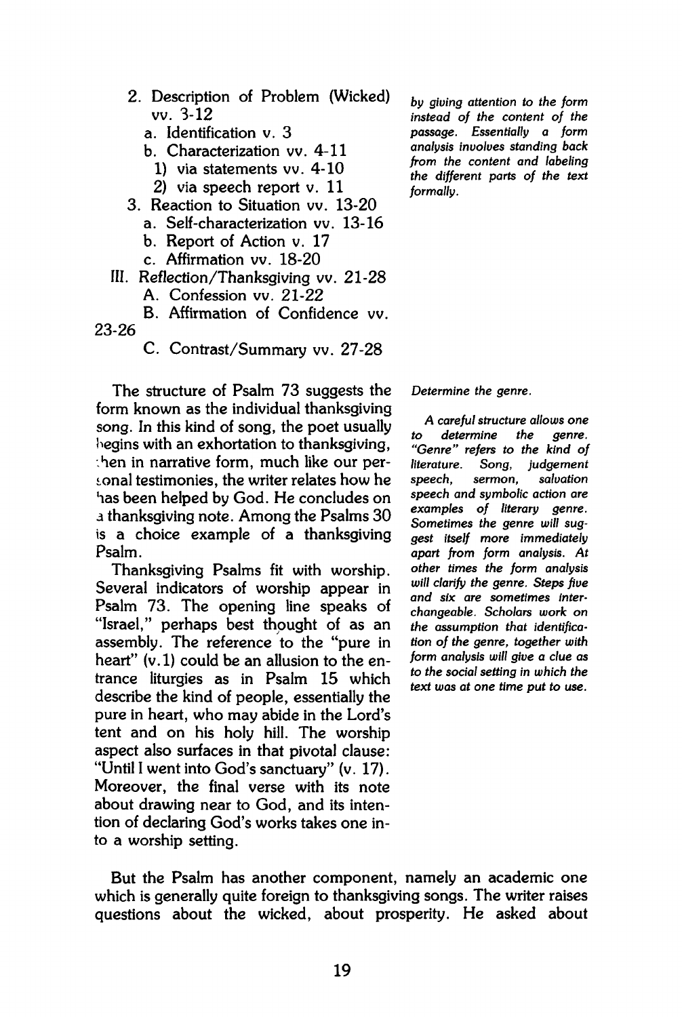- **2. Description of Problem (Wicked) vv. 3-12** 
	- **a. Identification v. 3**
	- **b. Characterization vv. 4-11** 
		- **1) via statements vv. 4-10**
		- **2) via speech report v. 11**
- **3. Reaction to Situation vv. 13-20** 
	- **a. Self-characterization vv. 13-16**
	- **b. Report of Action v. 17**
	- **c. Affirmation vv. 18-20**
- **Ill . Reflection/Thanksgiving vv. 21-28** 
	- **A. Confession vv. 21-22**
- **B. Affirmation of Confidence vv.**

**23-26** 

**C. Contrast/Summary vv. 27-28** 

**The structure of Psalm 73 suggests the form known as the individual thanksgiving song. In this kind of song, the poet usually begins with an exhortation to thanksgiving,**  *Sen* **in narrative form, much like our pergonal testimonies, the writer relates how he has been helped by God. He concludes on**  *à* **thanksgiving note. Among the Psalms 30 is a choice example of a thanksgiving Psalm.** 

**Thanksgiving Psalms fit with worship. Several indicators of worship appear in Psalm 73. The opening line speaks of "Israel," perhaps best thought of as an assembly. The reference to the "pure in heart" (v.l) could** *be* **an allusion to the entrance liturgies as in Psalm 15 which describe the kind of people, essentially the pure in heart, who may abide in the Lord's tent and on his holy hill. The worship aspect also surfaces in that pivotal clause: "Until I went into God's sanctuary" (v. 17). Moreover, the final verse with its note about drawing near to God, and its intention of declaring God's works takes one into a worship setting.** 

*by giving attention to the form instead of the content of the passage. Essentially a form analysis involves standing back from the content and labeling the different parts of the text formally.* 

*Determine the genre.* 

*A careful structure allows one to determine "Genre" refers to the kind of literature. Song, judgement speech, sermon, salvation speech and symbolic action are examples of literary genre. Sometimes the genre will suggest itself more immediately apañ from form analysis. At other times the form analysis will clarify the genre. Steps five and six are sometimes interchangeable. Scholars work on the assumption that identification of the genre, together with form analysis will give a clue as to the social setting in which the text was at one time put to use.* 

**But the Psalm has another component, namely an academic one which is generally quite foreign to thanksgiving songs. The writer raises questions about the wicked, about prosperity. He asked about**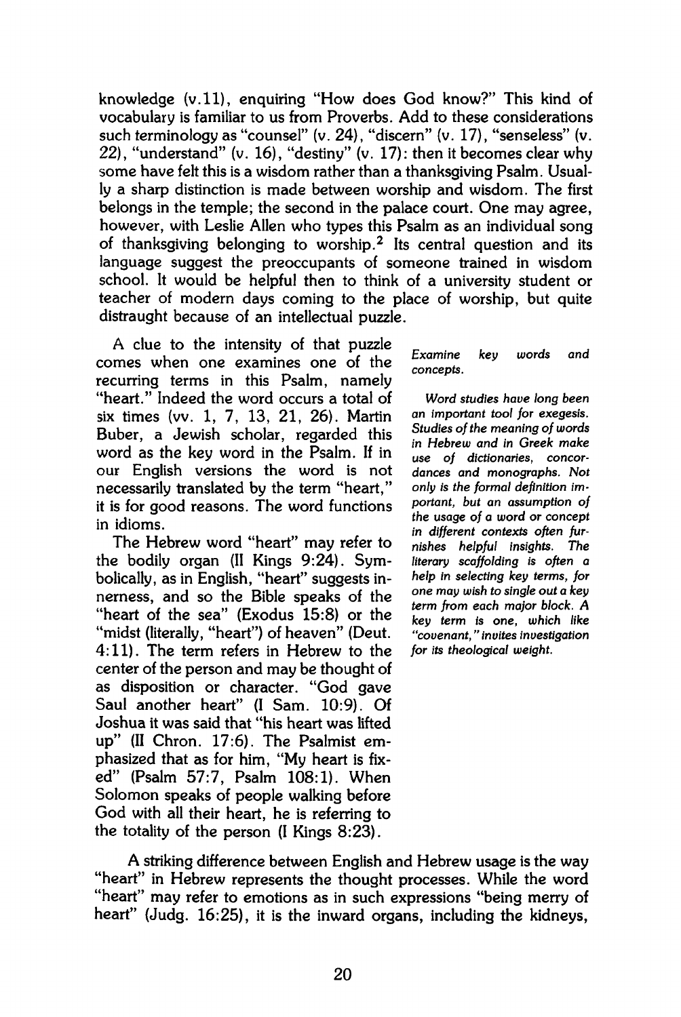**knowledge (v. 11), enquiring "How does God know?" This kind of vocabulary is familiar to us from Proverbs. Add to these considerations such terminology as "counsel" (v. 24), "discern" (v. 17), "senseless" (v. 22), "understand" (v. 16), "destiny" (v. 17): then it becomes clear why some have felt this is a wisdom rather than a thanksgiving Psalm. Usually a sharp distinction is made between worship and wisdom. The first belongs in the temple; the second in the palace court. One may agree, however, with Leslie Allen who types this Psalm as an individual song of thanksgiving belonging to worship.<sup>2</sup> Its central question and its**  language suggest the preoccupants of someone trained in wisdom **school. It would be helpful then to think of a university student or teacher of modern days coming to the place of worship, but quite distraught because of an intellectual puzzle.** 

**A clue to the intensity of that puzzle comes when one examines one of the recurring terms in this Psalm, namely "heart." Indeed the word occurs a total of six times (vv. 1, 7, 13, 21, 26). Martin Buber, a Jewish scholar, regarded this word as the key word in the Psalm. If in our English versions the word is not necessarily translated by the term "heart," it is for good reasons. The word functions in idioms.** 

**The Hebrew word "heart" may refer to the bodily organ (II Kings 9:24). Symbolically, as in English, "heart" suggests innerness, and so the Bible speaks of the "heart of the sea" (Exodus 15:8) or the "midst (literally, "heart") of heaven" (Deut. 4:11). The term refers in Hebrew to the center of the person and may be thought of as disposition or character. "God gave Saul another heart" (I Sam. 10:9). Of Joshua it was said that "his heart was lifted up" (II Chron. 17:6). The Psalmist emphasized that as for him, "My heart is fixed" (Psalm 57:7, Psalm 108:1). When Solomon speaks of people walking before God with all their heart, he is referring to the totality of the person (I Kings 8:23).** 

*Examine key words and concepts.* 

*Word studies have long been an important tool for exegesis. Studies of the meaning of words in Hebrew and in Greek make use of dictionaries, concordances and monographs. Not only is the formal definition important, but an assumption of the usage of a word or concept in different contexts often furnishes helpful insights. The literary scaffolding is often a help in selecting key terms, for one may wish to single out a key term from each major block. A key term is one, which like "covenant, " invites investigation for its theological weight.* 

**A striking difference between English and Hebrew usage is the way "heart" in Hebrew represents the thought processes. While the word "heart" may refer to emotions as in such expressions "being merry of heart" (Judg. 16:25), it is the inward organs, including the kidneys,**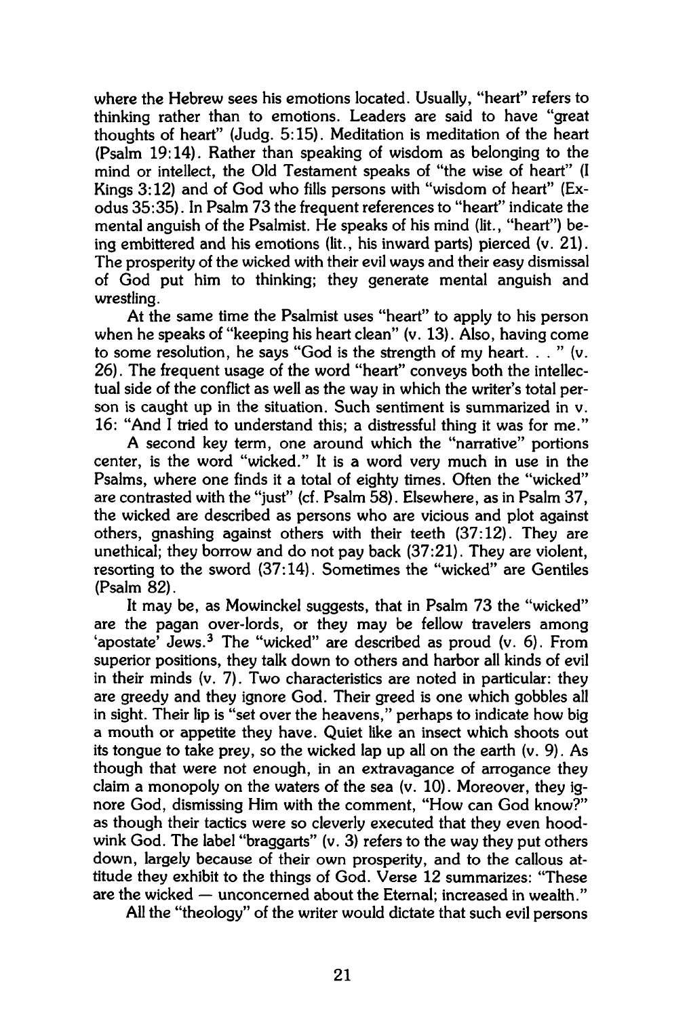**where the Hebrew sees his emotions located. Usually, "heart" refers to thinking rather than to emotions. Leaders are said to have "great thoughts of heart" (Judg. 5:15). Meditation is meditation of the heart (Psalm 19:14). Rather than speaking of wisdom as belonging to the mind or intellect, the Old Testament speaks of "the wise of heart" (I Kings 3:12) and of God who fills persons with "wisdom of heart" (Exodus 35:35). In Psalm 73 the frequent references to "heart" indicate the mental anguish of the Psalmist. He speaks of his mind (lit., "heart") being embittered and his emotions (lit., his inward parts) pierced (v. 21). The prosperity of the wicked with their evil ways and their easy dismissal of God put him to thinking; they generate mental anguish and wrestling.** 

**At the same time the Psalmist uses "heart" to apply to his person when he speaks of "keeping his heart clean" (v. 13). Also, having come to some resolution, he says "God is the strength of my heart. . . " (v. 26). The frequent usage of the word "heart" conveys both the intellectual side of the conflict as well as the way in which the writer's total person is caught up in the situation. Such sentiment is summarized in v. 16: "And I tried to understand this; a distressful thing it was for me."** 

**A second key term, one around which the "narrative" portions center, is the word "wicked." It is a word very much in use in the Psalms, where one finds it a total of eighty times. Often the "wicked" are contrasted with the "just" (cf. Psalm 58). Elsewhere, as in Psalm 37, the wicked are described as persons who are vicious and plot against others, gnashing against others with their teeth (37:12). They are unethical; they borrow and do not pay back (37:21). They are violent, resorting to the sword (37:14). Sometimes the "wicked" are Gentiles (Psalm 82).** 

**It may be, as Mowinckel suggests, that in Psalm 73 the "wicked" are the pagan over-lords, or they may be fellow travelers among 'apostate' Jews.<sup>3</sup> The "wicked" are described as proud (v. 6). From superior positions, they talk down to others and harbor all kinds of evil in their minds (v. 7). Two characteristics are noted in particular: they are greedy and they ignore God. Their greed is one which gobbles all in sight. Their lip is "set over the heavens," perhaps to indicate how big a mouth or appetite they have. Quiet like an insect which shoots out its tongue to take prey, so the wicked lap up all on the earth (v. 9). As though that were not enough, in an extravagance of arrogance they claim a monopoly on the waters of the sea (v. 10). Moreover, they ignore God, dismissing Him with the comment, "How can God know?" as though their tactics were so cleverly executed that they even hoodwink God. The label "braggarts" (v. 3) refers to the way they put others down, largely because of their own prosperity, and to the callous attitude they exhibit to the things of God. Verse 12 summarizes: "These are the wicked — unconcerned about the Eternal; increased in wealth."** 

**All the "theology" of the writer would dictate that such evil persons**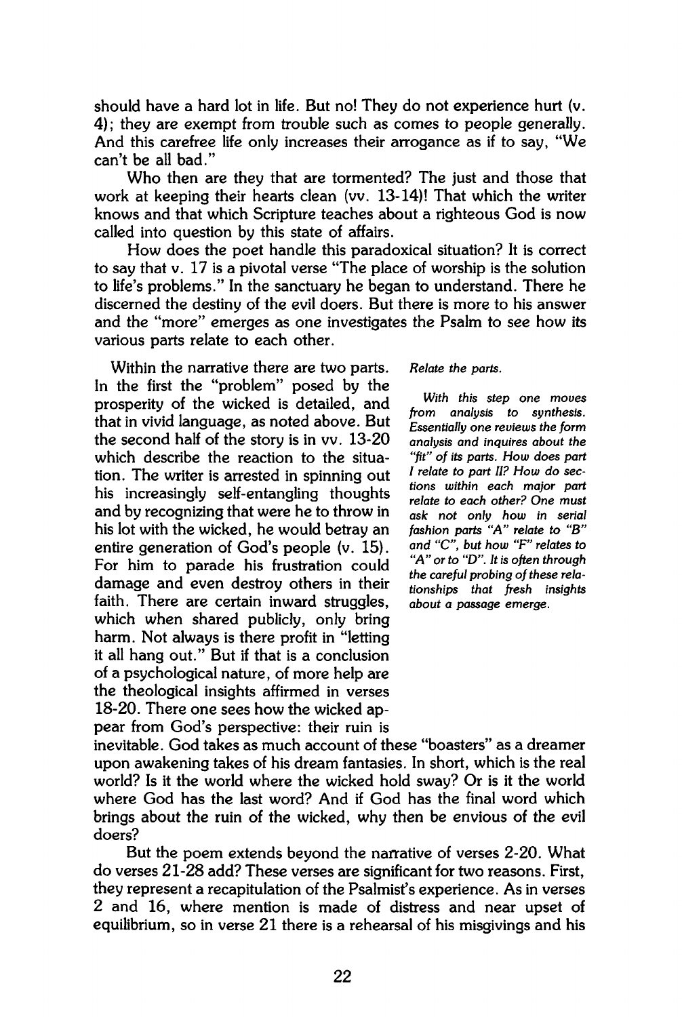**should have a hard lot in life. But no! They do not experience hurt (v. 4); they are exempt from trouble such as comes to people generally. And this carefree life only increases their arrogance as if to say, "We can't be all bad."** 

**Who then are they that are tormented? The just and those that work at keeping their hearts clean (vv. 13-14)! That which the writer knows and that which Scripture teaches about a righteous God is now called into question by this state of affairs.** 

**How does the poet handle this paradoxical situation? It is correct to say that v. 17 is a pivotal verse "The place of worship is the solution to life's problems." In the sanctuary he began to understand. There he discerned the destiny of the evil doers. But there is more to his answer and the "more" emerges as one investigates the Psalm to see how its various parts relate to each other.** 

**Within the narrative there are two parts. In the first the "problem" posed by the prosperity of the wicked is detailed, and that in vivid language, as noted above. But the second half of the story is in vv. 13-20 which describe the reaction to the situation. The writer is arrested in spinning out his increasingly self-entangling thoughts and by recognizing that were he to throw in his lot with the wicked, he would betray an entire generation of God's people (v. 15). For him to parade his frustration could damage and even destroy others in their faith. There are certain inward struggles, which when shared publicly, only bring harm. Not always is there profit in "letting it all hang out." But if that is a conclusion of a psychological nature, of more help are the theological insights affirmed in verses 18-20. There one sees how the wicked appear from God's perspective: their ruin is**  *Relate the parts.* 

*With this step one moves from analysis to synthesis. Essentially one reviews the form analysis and inquires about the "fit" of its parts. How does part I relate to part II? How do sections within each major part relate to each other? One must ask not only how in seríal fashion parts "A" relate to "B" and "C", but how "F" relates to "A" or to "D". It is often through the careful probing of these relationships that fresh insights about a passage emerge.* 

**inevitable. God takes as much account of these "boasters" as a dreamer upon awakening takes of his dream fantasies. In short, which is the real world? Is it the world where the wicked hold sway? Or is it the world where God has the last word? And if God has the final word which brings about the ruin of the wicked, why then be envious of the evil doers?** 

**But the poem extends beyond the narrative of verses 2-20. What do verses 21-28 add? These verses are significant for two reasons. First, they represent a recapitulation of the Psalmist's experience. As in verses 2 and 16, where mention is made of distress and near upset of equilibrium, so in verse 21 there is a rehearsal of his misgivings and his**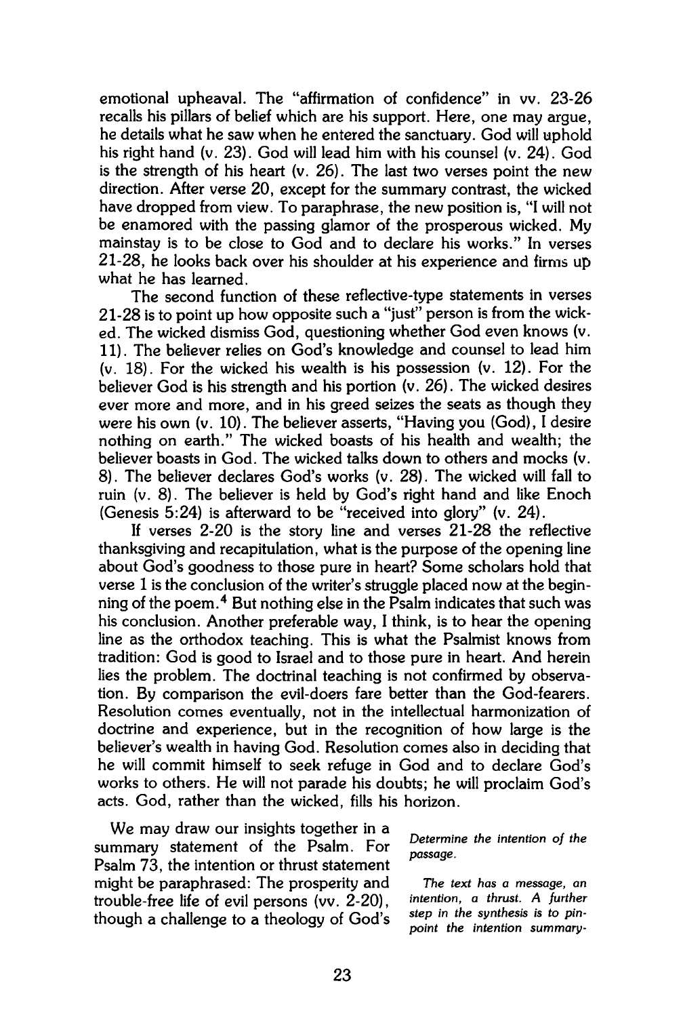**emotional upheaval. The "affirmation of confidence" in vv. 23-26 recalls his pillars of belief which are his support. Here, one may argue, he details what he saw when he entered the sanctuary. God will uphold his right hand (v. 23). God will lead him with his counsel (v. 24). God is the strength of his heart (v. 26). The last two verses point the new direction. After verse 20, except for the summary contrast, the wicked have dropped from view. To paraphrase, the new position is, "I will not be enamored with the passing glamor of the prosperous wicked. My mainstay is to be close to God and to declare his works." In verses 21-28, he looks back over his shoulder at his experience and firms up what he has learned.** 

**The second function of these reflective-type statements in verses 21-28 is to point up how opposite such a "just" person is from the wicked. The wicked dismiss God, questioning whether God even knows (v. 11). The believer relies on God's knowledge and counsel to lead him (v. 18). For the wicked his wealth is his possession (v. 12). For the believer God is his strength and his portion (v. 26). The wicked desires ever more and more, and in his greed seizes the seats as though they were his own (v. 10). The believer asserts, "Having you (God), I desire nothing on earth." The wicked boasts of his health and wealth; the believer boasts in God. The wicked talks down to others and mocks (v. 8). The believer declares God's works (v. 28). The wicked will fall to ruin (v. 8). The believer is held by God's right hand and like Enoch (Genesis 5:24) is afterward to be "received into glory" (v. 24).** 

**If verses 2-20 is the story line and verses 21-28 the reflective thanksgiving and recapitulation, what is the purpose of the opening line about God's goodness to those pure in heart? Some scholars hold that verse 1 is the conclusion of the writer's struggle placed now at the beginning of the poem.<sup>4</sup> But nothing else in the Psalm indicates that such was his conclusion. Another preferable way, I think, is to hear the opening line as the orthodox teaching. This is what the Psalmist knows from tradition: God is good to Israel and to those pure in heart. And herein lies the problem. The doctrinal teaching is not confirmed by observation. By comparison the evil-doers fare better than the God-fearers. Resolution comes eventually, not in the intellectual harmonization of doctrine and experience, but in the recognition of how large is the believer's wealth in having God. Resolution comes also in deciding that he will commit himself to seek refuge in God and to declare God's works to others. He will not parade his doubts; he will proclaim God's acts. God, rather than the wicked, fills his horizon.** 

**We may draw our insights together in a summary statement of the Psalm. For Psalm 73, the intention or thrust statement might be paraphrased: The prosperity and** *The text has a message, an*  **trouble-free life of evil persons (vv. 2-20),** *intention, a thrust. A further*  though a challenge to a theology of God's step in the synthesis is to pin-<br>*point the intention summary* 

*Determine the intention of the passage.* 

 *point the intention summary-*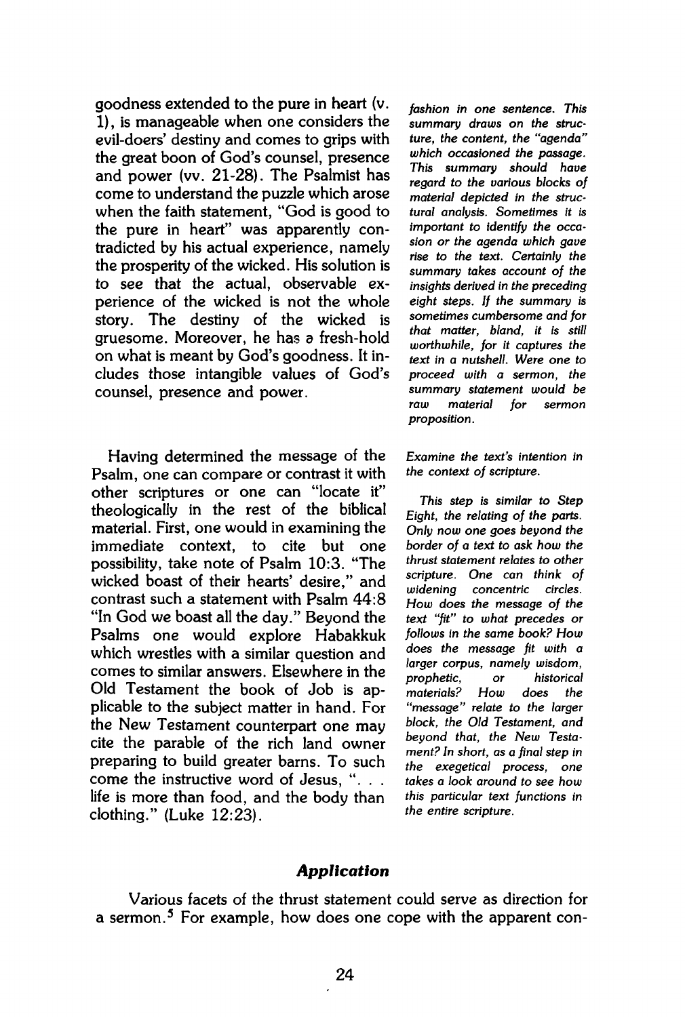**goodness extended to the pure** in **heart** (v. **1)**, is manageable when one considers the evil-doers' destiny and comes to grips with the great boon of God's counsel, presence and power (vv. 21-28). The Psalmist has come to understand the puzzle which arose when the faith statement, "God is good to the pure in heart" was apparently contradicted by his actual experience, namely the prosperity of the wicked. His solution is to see that the actual, observable experience of the wicked is not the whole story. The destiny of the wicked is gruesome. Moreover, he has a fresh-hold on what is meant by God's goodness. It includes those intangible values of God's counsel, presence and power.

Having determined the message of the Psalm, one can compare or contrast it with other scriptures or one can "locate it" theologically in the rest of the biblical material. First, one would in examining the immediate context, to cite but one possibility, take note of Psalm 10:3. "The wicked boast of their hearts' desire," and contrast such a statement with Psalm 44:8 "In God we boast all the day." Beyond the Psalms one would explore Habakkuk which wrestles with a similar question and comes to similar answers. Elsewhere in the Old Testament the book of Job is applicable to the subject matter in hand. For the New Testament counterpart one may cite the parable of the rich land owner preparing to build greater barns. To such come the instructive word of Jesus, ".. . life is more than food, and the body than clothing." (Luke 12:23).

*fashion in one sentence. This summary draws on the structure, the content, the "agenda" which occasioned the passage. This summary should have regard to the various blocks of material depicted in the structural analysis. Sometimes it is important to identify the occasion or the agenda which gave rise to the text. Certainly the summary takes account of the insights derived in the preceding eight steps. If the summary is sometimes cumbersome and for that matter, bland, it is still worthwhile, for it captures the text in a nutshell. Were one to proceed with a sermon, the summary statement would be raw material for sermon proposition.* 

*Examine the text's intention in the context of scripture.* 

*This step is similar to Step Eight, the relating of the parts. Only now one goes beyond the border of a text to ask how the thrust statement relates to other scripture. One can think of widening concentric circles. How does the message of the text "fit" to what precedes or follows in the same book? How does the message fit with a larger corpus, namely wisdom, prophetic, or historical materials? How does the "message" relate to the larger block, the Old Testament, and beyond that, the New Testament? In short, as a final step in the exegetical process, one takes a look around to see how this particular text functions in the entire scripture.* 

#### *Application*

Various facets of the thrust statement could serve as direction for a sermon.<sup>5</sup> For example, how does one cope with the apparent con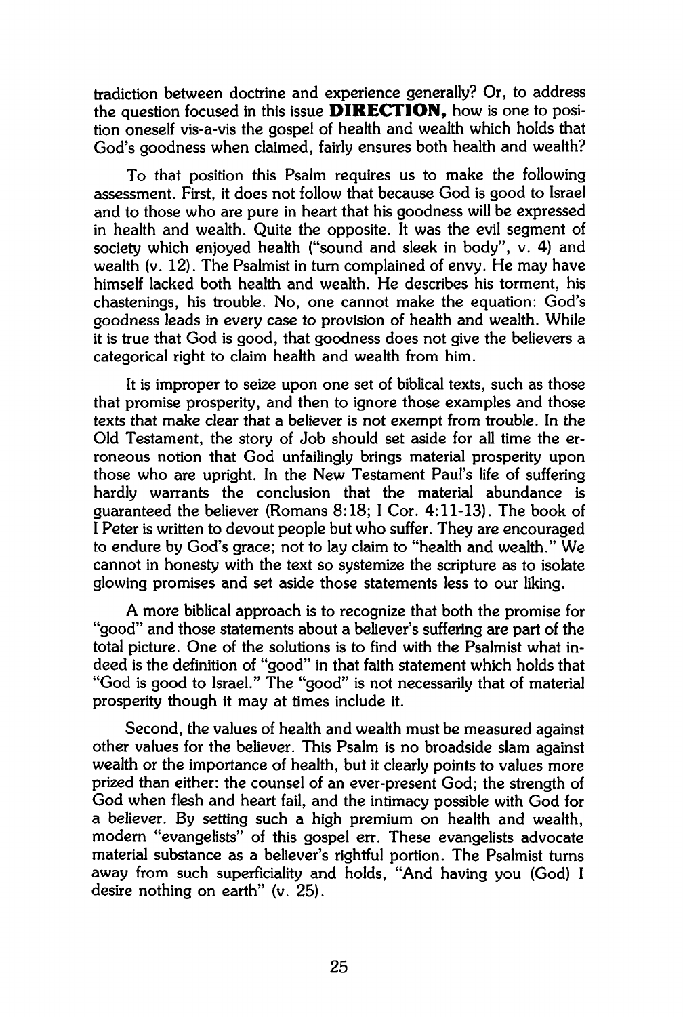tradiction between doctrine and experience generally? Or, to address the question focused in this issue **DIRECTION,** how is one to position oneself vis-a-vis the gospel of health and wealth which holds that God's goodness when claimed, fairly ensures both health and wealth?

To that position this Psalm requires us to make the following assessment. First, it does not follow that because God is good to Israel and to those who are pure in heart that his goodness will be expressed in health and wealth. Quite the opposite. It was the evil segment of society which enjoyed health ("sound and sleek in body", v. 4) and wealth (v. 12). The Psalmist in turn complained of envy. He may have himself lacked both health and wealth. He describes his torment, his chastenings, his trouble. No, one cannot make the equation: God's goodness leads in every case to provision of health and wealth. While it is true that God is good, that goodness does not give the believers a categorical right to claim health and wealth from him.

It is improper to seize upon one set of biblical texts, such as those that promise prosperity, and then to ignore those examples and those texts that make clear that a believer is not exempt from trouble. In the Old Testament, the story of Job should set aside for all time the erroneous notion that God unfailingly brings material prosperity upon those who are upright. In the New Testament Paul's life of suffering hardly warrants the conclusion that the material abundance is guaranteed the believer (Romans 8:18; I Cor. 4:11-13). The book of I Peter is written to devout people but who suffer. They are encouraged to endure by God's grace; not to lay claim to "health and wealth." We cannot in honesty with the text so systemize the scripture as to isolate glowing promises and set aside those statements less to our liking.

A more biblical approach is to recognize that both the promise for "good" and those statements about a believer's suffering are part of the total picture. One of the solutions is to find with the Psalmist what indeed is the definition of "good" in that faith statement which holds that "God is good to Israel." The "good" is not necessarily that of material prosperity though it may at times include it.

Second, the values of health and wealth must be measured against other values for the believer. This Psalm is no broadside slam against wealth or the importance of health, but it clearly points to values more prized than either: the counsel of an ever-present God; the strength of God when flesh and heart fail, and the intimacy possible with God for a believer. By setting such a high premium on health and wealth, modern "evangelists" of this gospel err. These evangelists advocate material substance as a believer's rightful portion. The Psalmist turns away from such superficiality and holds, "And having you (God) I desire nothing on earth" (v. 25).